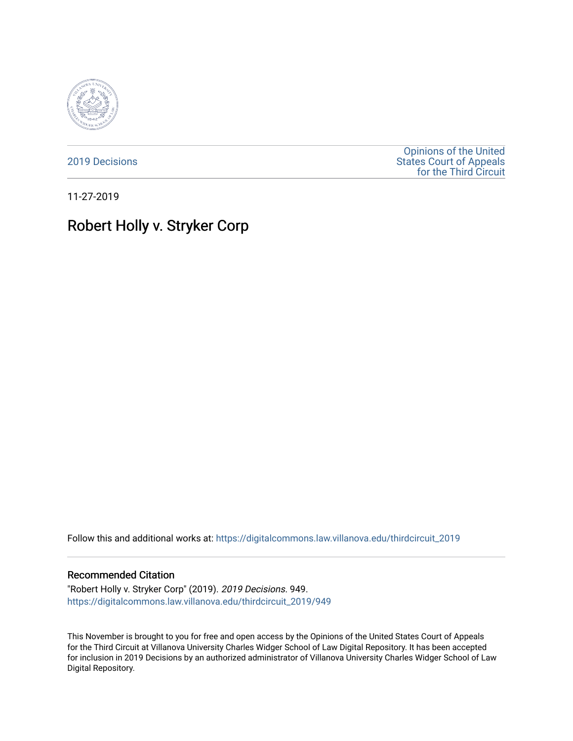

[2019 Decisions](https://digitalcommons.law.villanova.edu/thirdcircuit_2019)

[Opinions of the United](https://digitalcommons.law.villanova.edu/thirdcircuit)  [States Court of Appeals](https://digitalcommons.law.villanova.edu/thirdcircuit)  [for the Third Circuit](https://digitalcommons.law.villanova.edu/thirdcircuit) 

11-27-2019

# Robert Holly v. Stryker Corp

Follow this and additional works at: [https://digitalcommons.law.villanova.edu/thirdcircuit\\_2019](https://digitalcommons.law.villanova.edu/thirdcircuit_2019?utm_source=digitalcommons.law.villanova.edu%2Fthirdcircuit_2019%2F949&utm_medium=PDF&utm_campaign=PDFCoverPages) 

#### Recommended Citation

"Robert Holly v. Stryker Corp" (2019). 2019 Decisions. 949. [https://digitalcommons.law.villanova.edu/thirdcircuit\\_2019/949](https://digitalcommons.law.villanova.edu/thirdcircuit_2019/949?utm_source=digitalcommons.law.villanova.edu%2Fthirdcircuit_2019%2F949&utm_medium=PDF&utm_campaign=PDFCoverPages)

This November is brought to you for free and open access by the Opinions of the United States Court of Appeals for the Third Circuit at Villanova University Charles Widger School of Law Digital Repository. It has been accepted for inclusion in 2019 Decisions by an authorized administrator of Villanova University Charles Widger School of Law Digital Repository.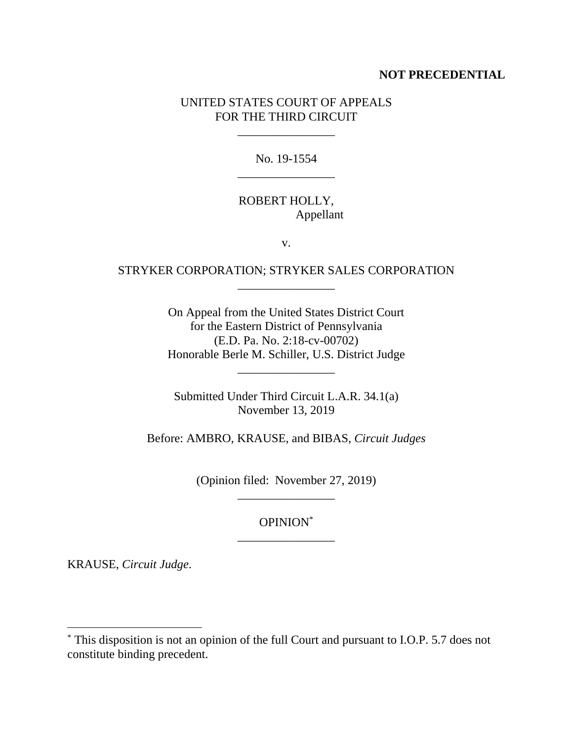#### **NOT PRECEDENTIAL**

#### UNITED STATES COURT OF APPEALS FOR THE THIRD CIRCUIT

\_\_\_\_\_\_\_\_\_\_\_\_\_\_\_\_

No. 19-1554 \_\_\_\_\_\_\_\_\_\_\_\_\_\_\_\_

#### ROBERT HOLLY, Appellant

v.

### STRYKER CORPORATION; STRYKER SALES CORPORATION \_\_\_\_\_\_\_\_\_\_\_\_\_\_\_\_

On Appeal from the United States District Court for the Eastern District of Pennsylvania (E.D. Pa. No. 2:18-cv-00702) Honorable Berle M. Schiller, U.S. District Judge

Submitted Under Third Circuit L.A.R. 34.1(a) November 13, 2019

\_\_\_\_\_\_\_\_\_\_\_\_\_\_\_\_

Before: AMBRO, KRAUSE, and BIBAS, *Circuit Judges* 

(Opinion filed: November 27, 2019) \_\_\_\_\_\_\_\_\_\_\_\_\_\_\_\_

> OPINION\* \_\_\_\_\_\_\_\_\_\_\_\_\_\_\_\_

KRAUSE, *Circuit Judge*.

 $\overline{a}$ 

<sup>\*</sup> This disposition is not an opinion of the full Court and pursuant to I.O.P. 5.7 does not constitute binding precedent.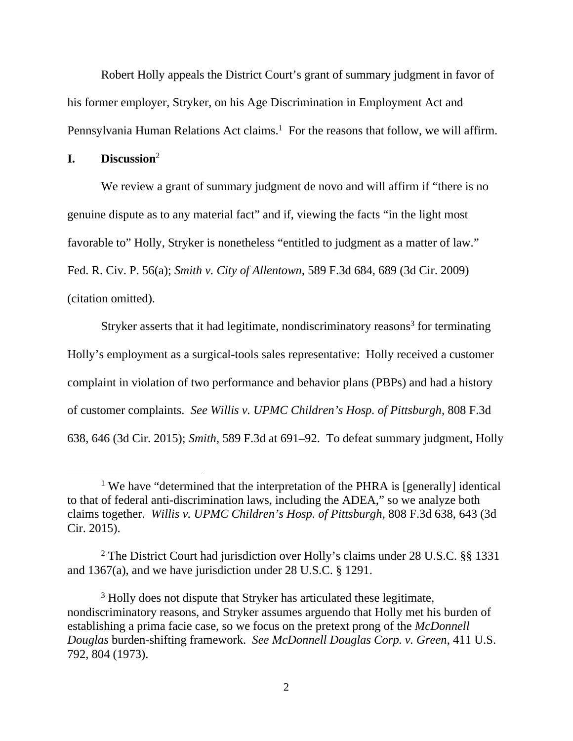Robert Holly appeals the District Court's grant of summary judgment in favor of his former employer, Stryker, on his Age Discrimination in Employment Act and Pennsylvania Human Relations Act claims.<sup>1</sup> For the reasons that follow, we will affirm.

**I. Discussion**<sup>2</sup>

We review a grant of summary judgment de novo and will affirm if "there is no genuine dispute as to any material fact" and if, viewing the facts "in the light most favorable to" Holly, Stryker is nonetheless "entitled to judgment as a matter of law." Fed. R. Civ. P. 56(a); *Smith v. City of Allentown*, 589 F.3d 684, 689 (3d Cir. 2009) (citation omitted).

Stryker asserts that it had legitimate, nondiscriminatory reasons<sup>3</sup> for terminating Holly's employment as a surgical-tools sales representative: Holly received a customer complaint in violation of two performance and behavior plans (PBPs) and had a history of customer complaints. *See Willis v. UPMC Children's Hosp. of Pittsburgh*, 808 F.3d 638, 646 (3d Cir. 2015); *Smith*, 589 F.3d at 691–92. To defeat summary judgment, Holly

 $\overline{\phantom{a}}$ <sup>1</sup> We have "determined that the interpretation of the PHRA is [generally] identical to that of federal anti-discrimination laws, including the ADEA," so we analyze both claims together. *Willis v. UPMC Children's Hosp. of Pittsburgh*, 808 F.3d 638, 643 (3d Cir. 2015).

<sup>2</sup> The District Court had jurisdiction over Holly's claims under 28 U.S.C. §§ 1331 and 1367(a), and we have jurisdiction under 28 U.S.C. § 1291.

<sup>&</sup>lt;sup>3</sup> Holly does not dispute that Stryker has articulated these legitimate, nondiscriminatory reasons, and Stryker assumes arguendo that Holly met his burden of establishing a prima facie case, so we focus on the pretext prong of the *McDonnell Douglas* burden-shifting framework. *See McDonnell Douglas Corp. v. Green*, 411 U.S. 792, 804 (1973).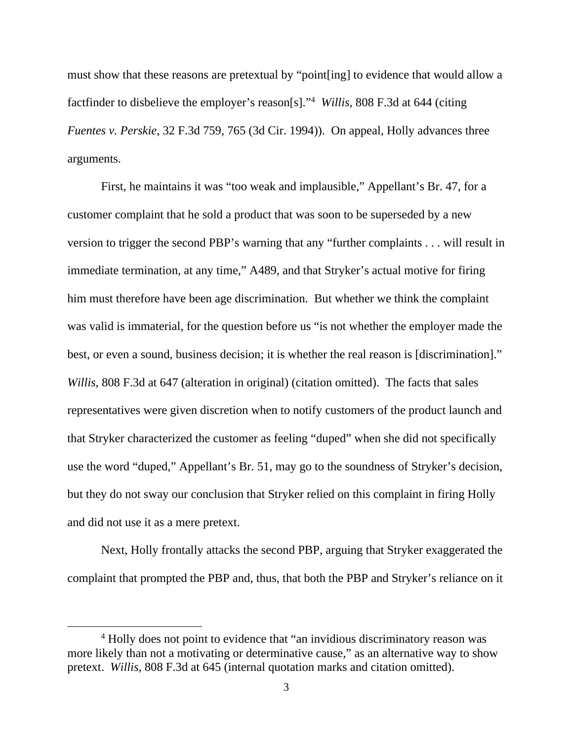must show that these reasons are pretextual by "point[ing] to evidence that would allow a factfinder to disbelieve the employer's reason[s]."4 *Willis*, 808 F.3d at 644 (citing *Fuentes v. Perskie*, 32 F.3d 759, 765 (3d Cir. 1994)). On appeal, Holly advances three arguments.

 First, he maintains it was "too weak and implausible," Appellant's Br. 47, for a customer complaint that he sold a product that was soon to be superseded by a new version to trigger the second PBP's warning that any "further complaints . . . will result in immediate termination, at any time," A489, and that Stryker's actual motive for firing him must therefore have been age discrimination. But whether we think the complaint was valid is immaterial, for the question before us "is not whether the employer made the best, or even a sound, business decision; it is whether the real reason is [discrimination]." *Willis*, 808 F.3d at 647 (alteration in original) (citation omitted). The facts that sales representatives were given discretion when to notify customers of the product launch and that Stryker characterized the customer as feeling "duped" when she did not specifically use the word "duped," Appellant's Br. 51, may go to the soundness of Stryker's decision, but they do not sway our conclusion that Stryker relied on this complaint in firing Holly and did not use it as a mere pretext.

Next, Holly frontally attacks the second PBP, arguing that Stryker exaggerated the complaint that prompted the PBP and, thus, that both the PBP and Stryker's reliance on it

 $\overline{4}$ <sup>4</sup> Holly does not point to evidence that "an invidious discriminatory reason was more likely than not a motivating or determinative cause," as an alternative way to show pretext. *Willis*, 808 F.3d at 645 (internal quotation marks and citation omitted).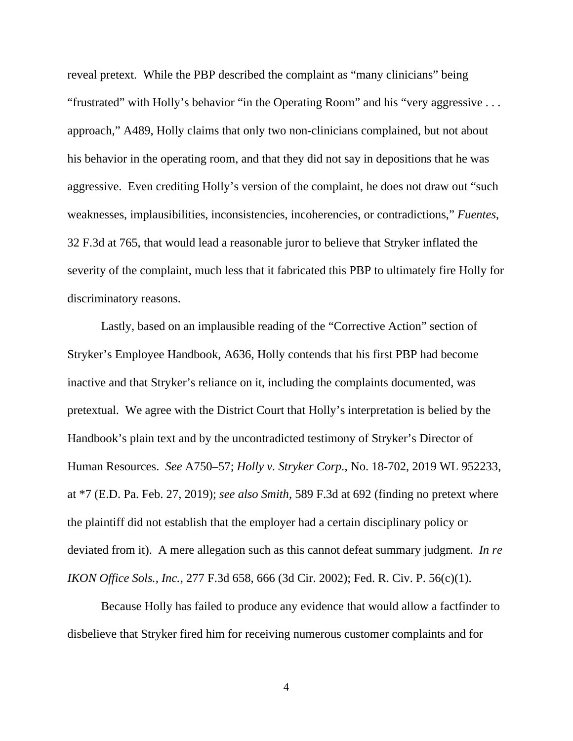reveal pretext. While the PBP described the complaint as "many clinicians" being "frustrated" with Holly's behavior "in the Operating Room" and his "very aggressive . . . approach," A489, Holly claims that only two non-clinicians complained, but not about his behavior in the operating room, and that they did not say in depositions that he was aggressive. Even crediting Holly's version of the complaint, he does not draw out "such weaknesses, implausibilities, inconsistencies, incoherencies, or contradictions," *Fuentes*, 32 F.3d at 765, that would lead a reasonable juror to believe that Stryker inflated the severity of the complaint, much less that it fabricated this PBP to ultimately fire Holly for discriminatory reasons.

Lastly, based on an implausible reading of the "Corrective Action" section of Stryker's Employee Handbook, A636, Holly contends that his first PBP had become inactive and that Stryker's reliance on it, including the complaints documented, was pretextual. We agree with the District Court that Holly's interpretation is belied by the Handbook's plain text and by the uncontradicted testimony of Stryker's Director of Human Resources. *See* A750–57; *Holly v. Stryker Corp.*, No. 18-702, 2019 WL 952233, at \*7 (E.D. Pa. Feb. 27, 2019); *see also Smith*, 589 F.3d at 692 (finding no pretext where the plaintiff did not establish that the employer had a certain disciplinary policy or deviated from it). A mere allegation such as this cannot defeat summary judgment. *In re IKON Office Sols., Inc.*, 277 F.3d 658, 666 (3d Cir. 2002); Fed. R. Civ. P. 56(c)(1).

 Because Holly has failed to produce any evidence that would allow a factfinder to disbelieve that Stryker fired him for receiving numerous customer complaints and for

4